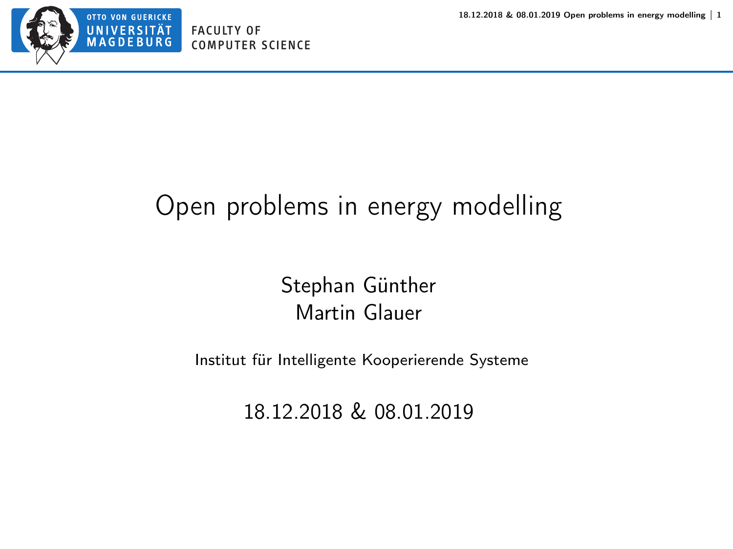<span id="page-0-0"></span>

#### Open problems in energy modelling

Stephan Günther Martin Glauer

Institut für Intelligente Kooperierende Systeme

18.12.2018 & 08.01.2019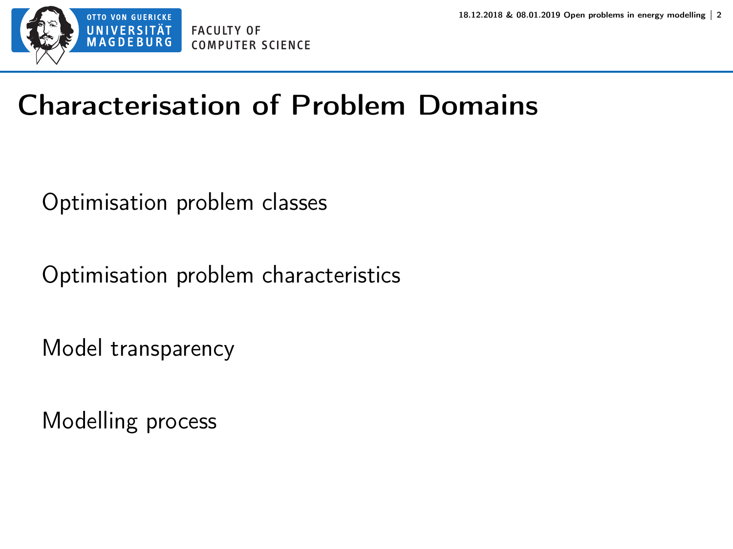

# Characterisation of Problem Domains

Optimisation problem classes

Optimisation problem characteristics

Model transparency

Modelling process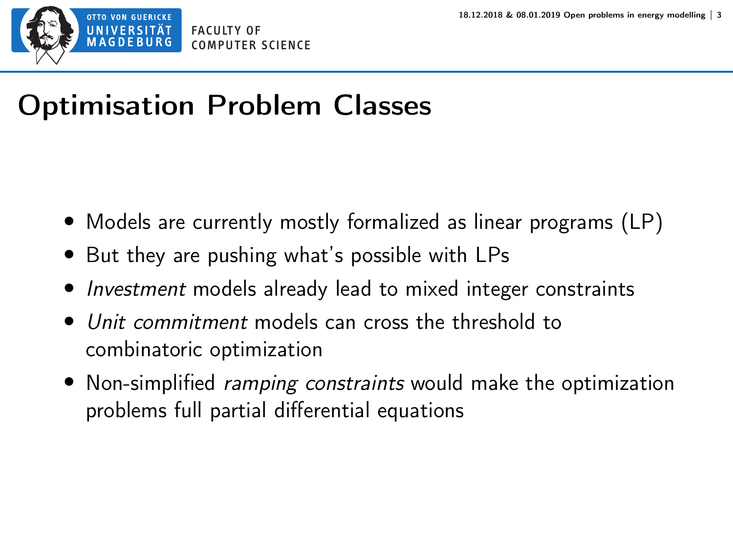

# Optimisation Problem Classes

- Models are currently mostly formalized as linear programs (LP)
- But they are pushing what's possible with LPs
- Investment models already lead to mixed integer constraints
- Unit commitment models can cross the threshold to combinatoric optimization
- Non-simplified *ramping constraints* would make the optimization problems full partial differential equations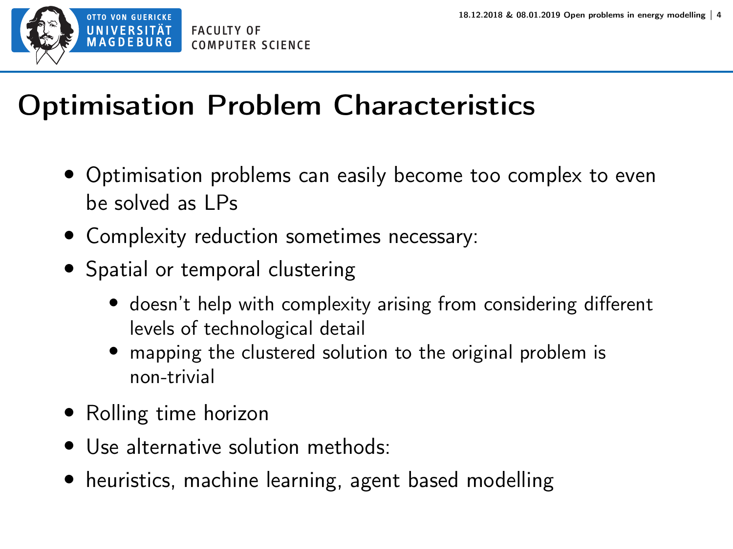

# Optimisation Problem Characteristics

- Optimisation problems can easily become too complex to even be solved as LPs
- Complexity reduction sometimes necessary:
- Spatial or temporal clustering
	- doesn't help with complexity arising from considering different levels of technological detail
	- mapping the clustered solution to the original problem is non-trivial
- Rolling time horizon
- Use alternative solution methods:
- heuristics, machine learning, agent based modelling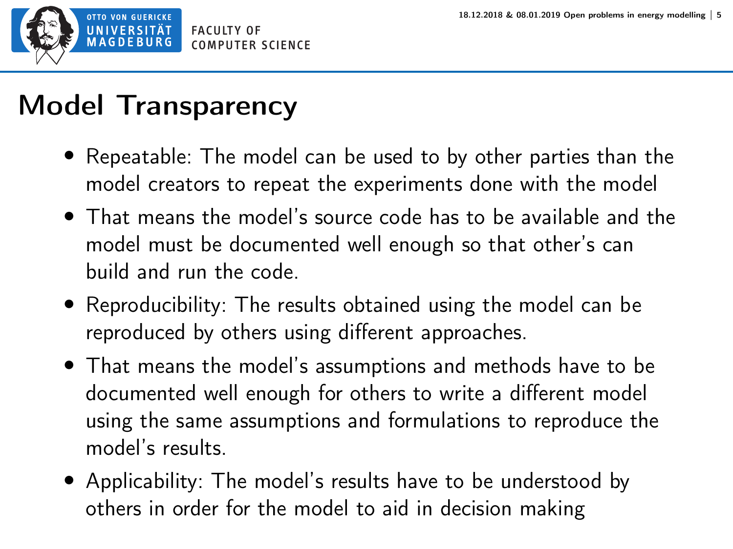

#### Model Transparency

- Repeatable: The model can be used to by other parties than the model creators to repeat the experiments done with the model
- That means the model's source code has to be available and the model must be documented well enough so that other's can build and run the code.
- Reproducibility: The results obtained using the model can be reproduced by others using different approaches.
- That means the model's assumptions and methods have to be documented well enough for others to write a different model using the same assumptions and formulations to reproduce the model's results.
- Applicability: The model's results have to be understood by others in order for the model to aid in decision making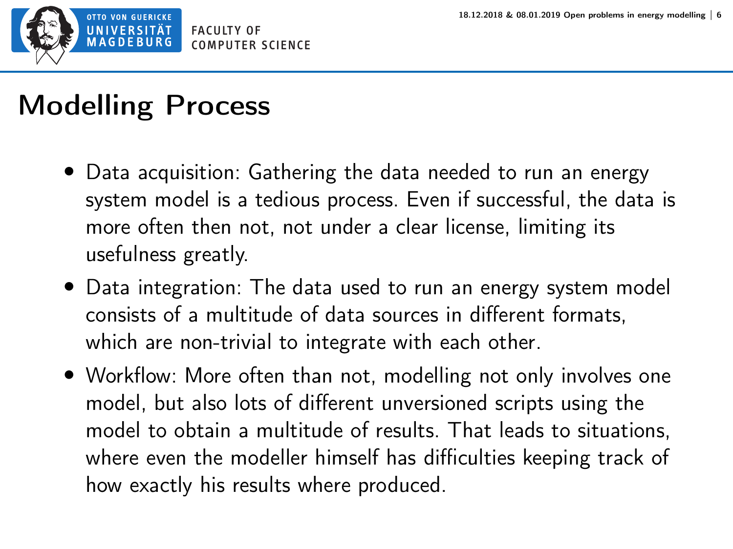

# Modelling Process

- Data acquisition: Gathering the data needed to run an energy system model is a tedious process. Even if successful, the data is more often then not, not under a clear license, limiting its usefulness greatly.
- Data integration: The data used to run an energy system model consists of a multitude of data sources in different formats, which are non-trivial to integrate with each other.
- Workflow: More often than not, modelling not only involves one model, but also lots of different unversioned scripts using the model to obtain a multitude of results. That leads to situations, where even the modeller himself has difficulties keeping track of how exactly his results where produced.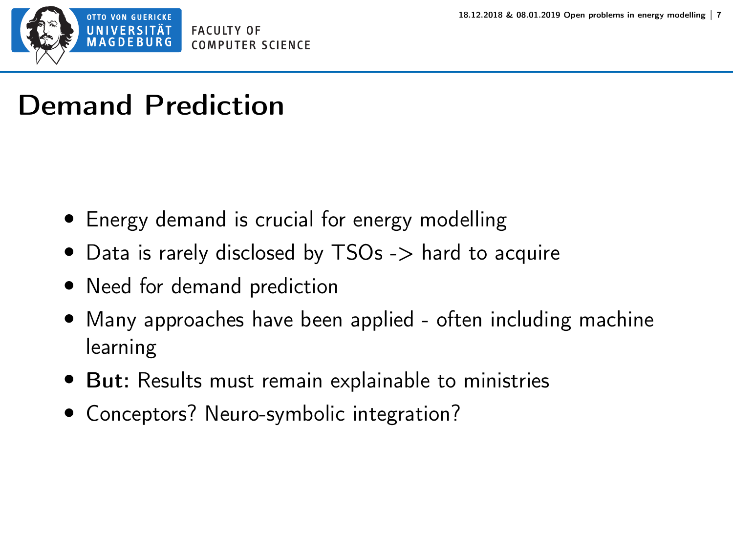

# Demand Prediction

- Energy demand is crucial for energy modelling
- Data is rarely disclosed by TSOs -> hard to acquire
- Need for demand prediction
- Many approaches have been applied often including machine learning
- But: Results must remain explainable to ministries
- Conceptors? Neuro-symbolic integration?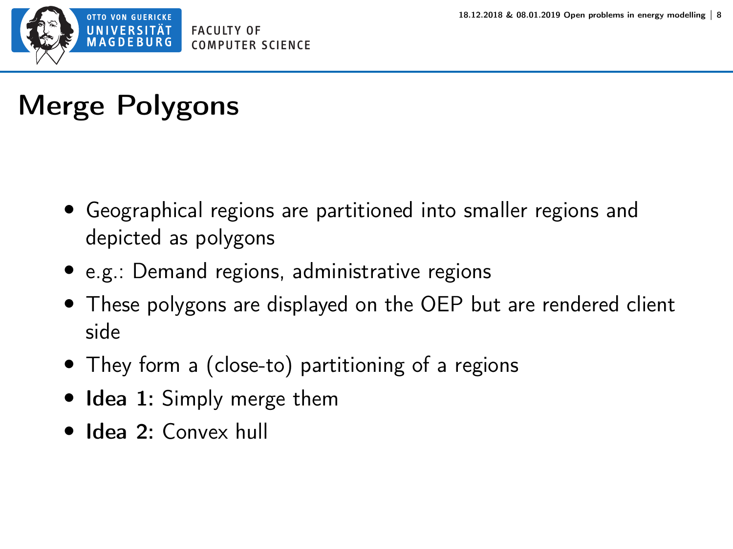

# Merge Polygons

- Geographical regions are partitioned into smaller regions and depicted as polygons
- e.g.: Demand regions, administrative regions
- These polygons are displayed on the OEP but are rendered client side
- They form a (close-to) partitioning of a regions
- Idea 1: Simply merge them
- Idea 2: Convex hull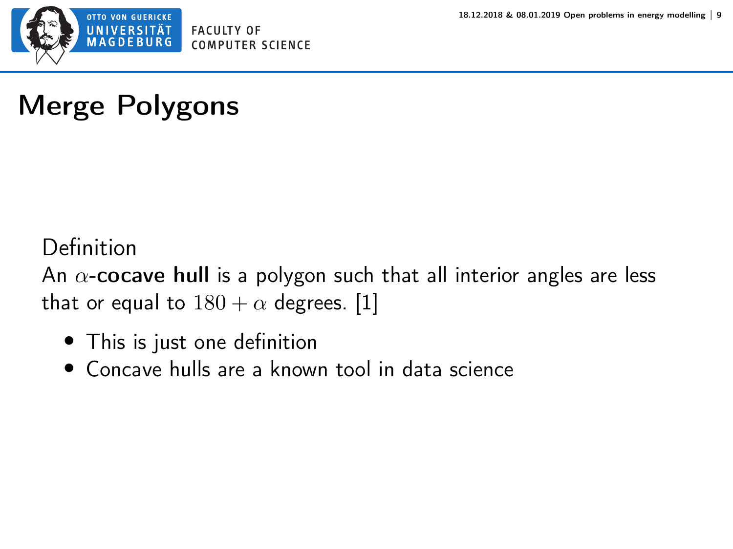

# Merge Polygons

#### Definition

An  $\alpha$ -cocave hull is a polygon such that all interior angles are less that or equal to  $180 + \alpha$  degrees. [\[1\]](https://arxiv.org/pdf/1309.7829.pdf)

- This is just one definition
- Concave hulls are a known tool in data science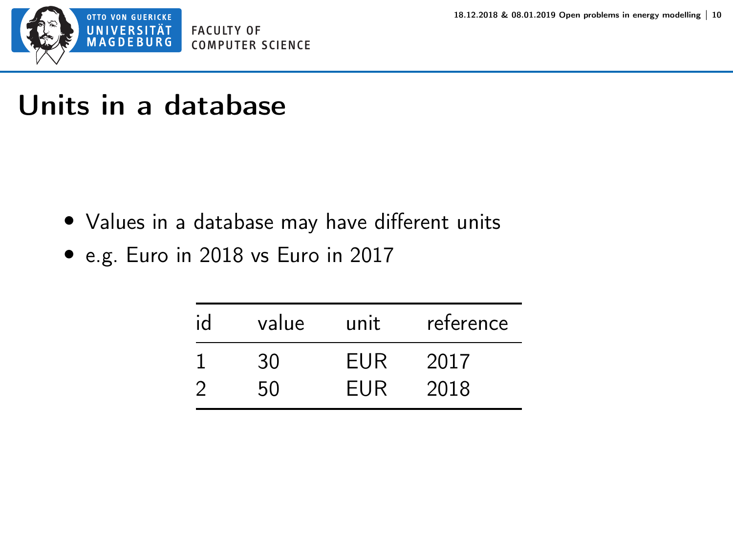

#### Units in a database

- Values in a database may have different units
- e.g. Euro in 2018 vs Euro in 2017

| id | value | unit | reference |
|----|-------|------|-----------|
|    | 30    | EUR  | 2017      |
|    | 50    | EUR  | 2018      |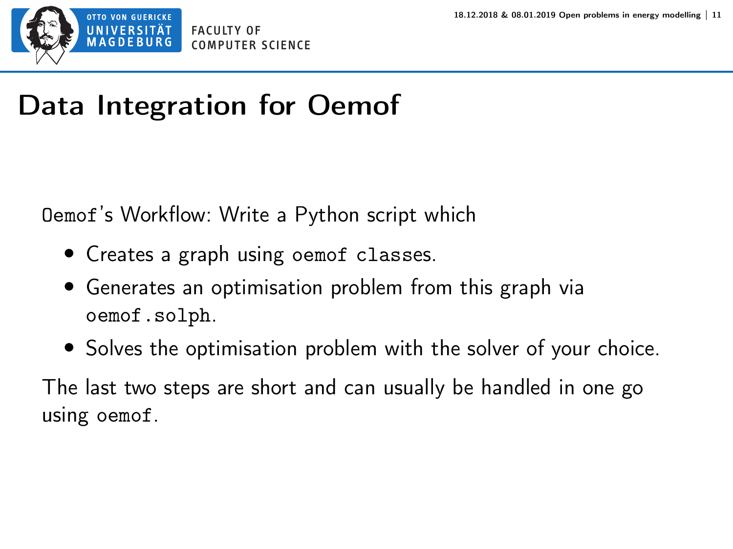

# Data Integration for Oemof

Oemof's Workflow: Write a Python script which

- Creates a graph using oemof classes.
- Generates an optimisation problem from this graph via oemof.solph.
- Solves the optimisation problem with the solver of your choice.

The last two steps are short and can usually be handled in one go using oemof.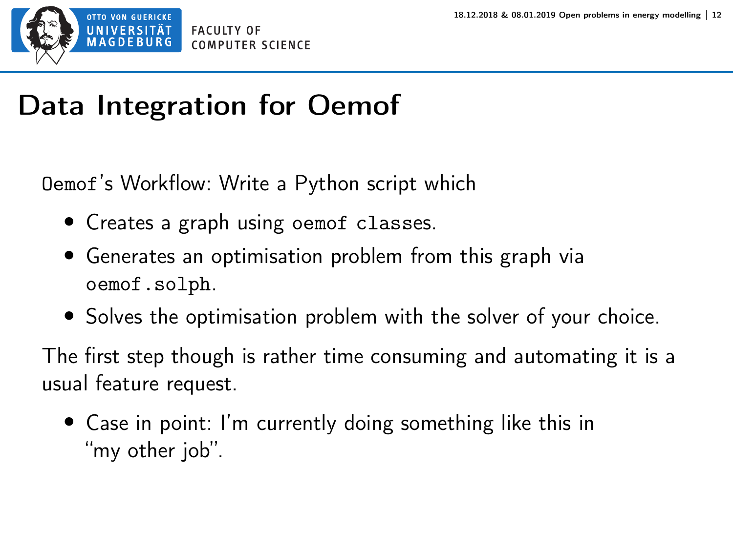

# Data Integration for Oemof

Oemof's Workflow: Write a Python script which

- Creates a graph using oemof classes.
- Generates an optimisation problem from this graph via oemof.solph.
- Solves the optimisation problem with the solver of your choice.

The first step though is rather time consuming and automating it is a usual feature request.

• Case in point: I'm currently doing something like this in "my other job".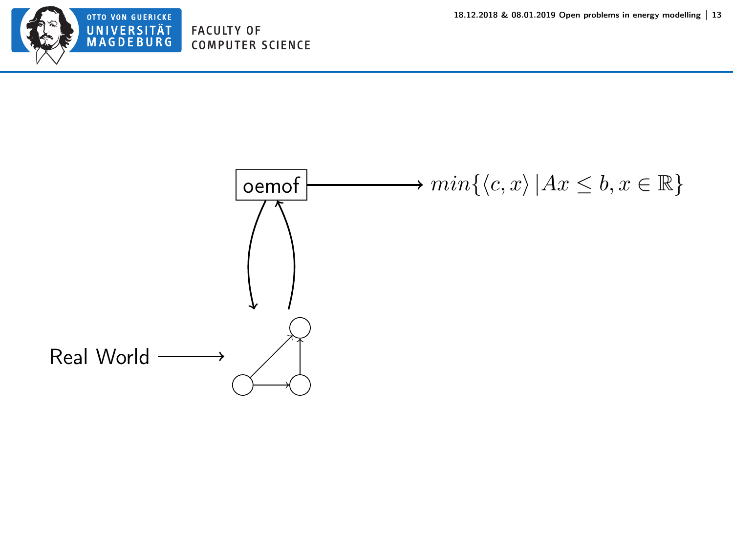